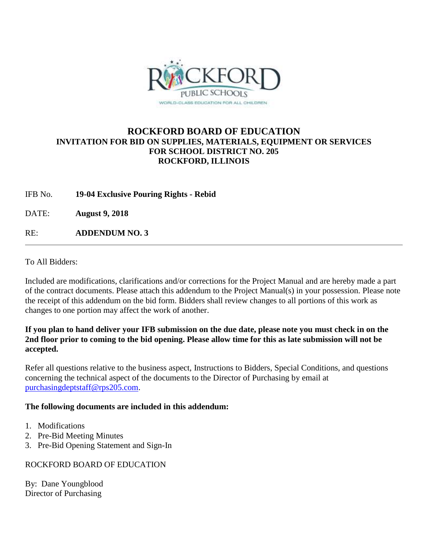

# **ROCKFORD BOARD OF EDUCATION INVITATION FOR BID ON SUPPLIES, MATERIALS, EQUIPMENT OR SERVICES FOR SCHOOL DISTRICT NO. 205 ROCKFORD, ILLINOIS**

IFB No. **19-04 Exclusive Pouring Rights - Rebid**

DATE: **August 9, 2018**

RE: **ADDENDUM NO. 3**

To All Bidders:

Included are modifications, clarifications and/or corrections for the Project Manual and are hereby made a part of the contract documents. Please attach this addendum to the Project Manual(s) in your possession. Please note the receipt of this addendum on the bid form. Bidders shall review changes to all portions of this work as changes to one portion may affect the work of another.

### **If you plan to hand deliver your IFB submission on the due date, please note you must check in on the 2nd floor prior to coming to the bid opening. Please allow time for this as late submission will not be accepted.**

Refer all questions relative to the business aspect, Instructions to Bidders, Special Conditions, and questions concerning the technical aspect of the documents to the Director of Purchasing by email at [purchasingdeptstaff@rps205.com.](mailto:purchasingdeptstaff@rps205.com)

# **The following documents are included in this addendum:**

- 1. Modifications
- 2. Pre-Bid Meeting Minutes
- 3. Pre-Bid Opening Statement and Sign-In

# ROCKFORD BOARD OF EDUCATION

By: Dane Youngblood Director of Purchasing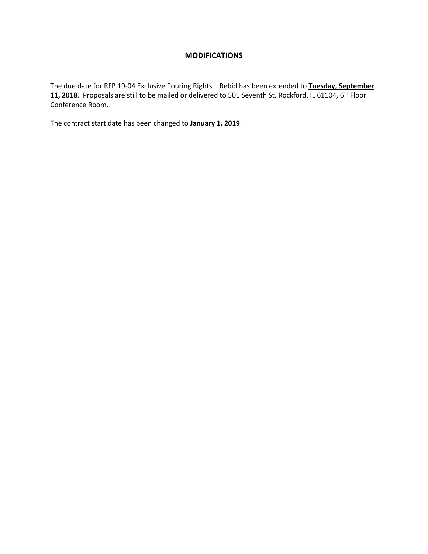### **MODIFICATIONS**

The due date for RFP 19-04 Exclusive Pouring Rights – Rebid has been extended to **Tuesday, September**  11, 2018. Proposals are still to be mailed or delivered to 501 Seventh St, Rockford, IL 61104, 6<sup>th</sup> Floor Conference Room.

The contract start date has been changed to **January 1, 2019**.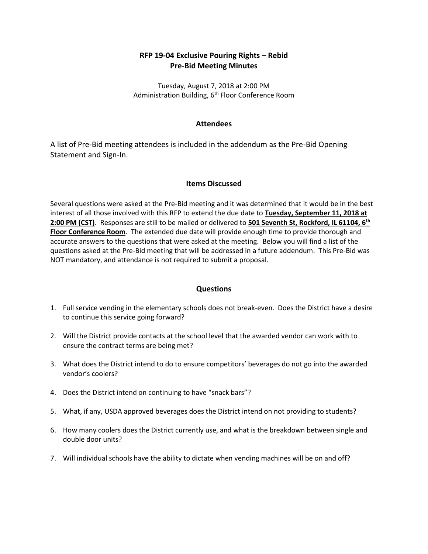## **RFP 19-04 Exclusive Pouring Rights – Rebid Pre-Bid Meeting Minutes**

Tuesday, August 7, 2018 at 2:00 PM Administration Building, 6<sup>th</sup> Floor Conference Room

### **Attendees**

A list of Pre-Bid meeting attendees is included in the addendum as the Pre-Bid Opening Statement and Sign-In.

### **Items Discussed**

Several questions were asked at the Pre-Bid meeting and it was determined that it would be in the best interest of all those involved with this RFP to extend the due date to **Tuesday, September 11, 2018 at 2:00 PM (CST)**. Responses are still to be mailed or delivered to **501 Seventh St, Rockford, IL 61104, 6th Floor Conference Room**. The extended due date will provide enough time to provide thorough and accurate answers to the questions that were asked at the meeting. Below you will find a list of the questions asked at the Pre-Bid meeting that will be addressed in a future addendum. This Pre-Bid was NOT mandatory, and attendance is not required to submit a proposal.

### **Questions**

- 1. Full service vending in the elementary schools does not break-even. Does the District have a desire to continue this service going forward?
- 2. Will the District provide contacts at the school level that the awarded vendor can work with to ensure the contract terms are being met?
- 3. What does the District intend to do to ensure competitors' beverages do not go into the awarded vendor's coolers?
- 4. Does the District intend on continuing to have "snack bars"?
- 5. What, if any, USDA approved beverages does the District intend on not providing to students?
- 6. How many coolers does the District currently use, and what is the breakdown between single and double door units?
- 7. Will individual schools have the ability to dictate when vending machines will be on and off?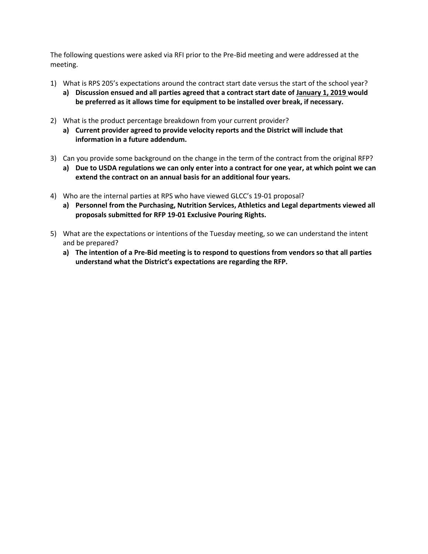The following questions were asked via RFI prior to the Pre-Bid meeting and were addressed at the meeting.

- 1) What is RPS 205's expectations around the contract start date versus the start of the school year?
	- **a) Discussion ensued and all parties agreed that a contract start date of January 1, 2019 would be preferred as it allows time for equipment to be installed over break, if necessary.**
- 2) What is the product percentage breakdown from your current provider?
	- **a) Current provider agreed to provide velocity reports and the District will include that information in a future addendum.**
- 3) Can you provide some background on the change in the term of the contract from the original RFP?
	- **a) Due to USDA regulations we can only enter into a contract for one year, at which point we can extend the contract on an annual basis for an additional four years.**
- 4) Who are the internal parties at RPS who have viewed GLCC's 19-01 proposal?
	- **a) Personnel from the Purchasing, Nutrition Services, Athletics and Legal departments viewed all proposals submitted for RFP 19-01 Exclusive Pouring Rights.**
- 5) What are the expectations or intentions of the Tuesday meeting, so we can understand the intent and be prepared?
	- **a) The intention of a Pre-Bid meeting is to respond to questions from vendors so that all parties understand what the District's expectations are regarding the RFP.**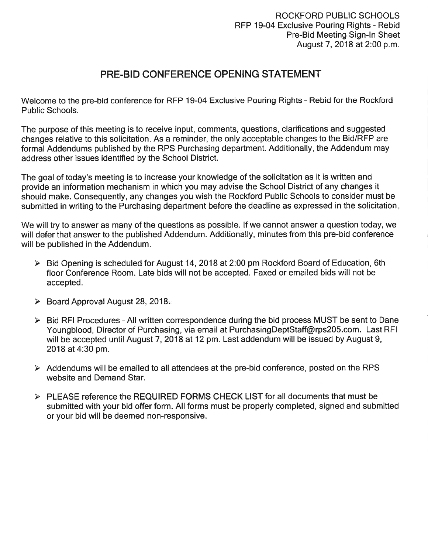# PRE-BID CONFERENCE OPENING STATEMENT

Welcome to the pre-bid conference for RFP 19-04 Exclusive Pouring Rights - Rebid for the Rockford Public Schools.

The purpose of this meeting is to receive input, comments, questions, clarifications and suggested changes relative to this solicitation. As a reminder, the only acceptable changes to the Bid/RFP are formal Addendums published by the RPS Purchasing department. Additionally, the Addendum may address other issues identified by the School District.

The goal of today's meeting is to increase your knowledge of the solicitation as it is written and provide an information mechanism in which you may advise the School District of any changes it should make. Consequently, any changes you wish the Rockford Public Schools to consider must be submitted in writing to the Purchasing department before the deadline as expressed in the solicitation.

We will try to answer as many of the questions as possible. If we cannot answer a question today, we will defer that answer to the published Addendum. Additionally, minutes from this pre-bid conference will be published in the Addendum.

- > Bid Opening is scheduled for August 14, 2018 at 2:00 pm Rockford Board of Education, 6th floor Conference Room. Late bids will not be accepted. Faxed or emailed bids will not be accepted.
- > Board Approval August 28, 2018.
- $\triangleright$  Bid RFI Procedures All written correspondence during the bid process MUST be sent to Dane Youngblood, Director of Purchasing, via email at PurchasingDeptStaff@rps205.com. Last RFI will be accepted until August 7, 2018 at 12 pm. Last addendum will be issued by August 9, 2018 at 4:30 pm.
- $\triangleright$  Addendums will be emailed to all attendees at the pre-bid conference, posted on the RPS website and Demand Star.
- > PLEASE reference the REQUIRED FORMS CHECK LIST for all documents that must be submitted with your bid offer form. All forms must be properly completed, signed and submitted or your bid will be deemed non-responsive.